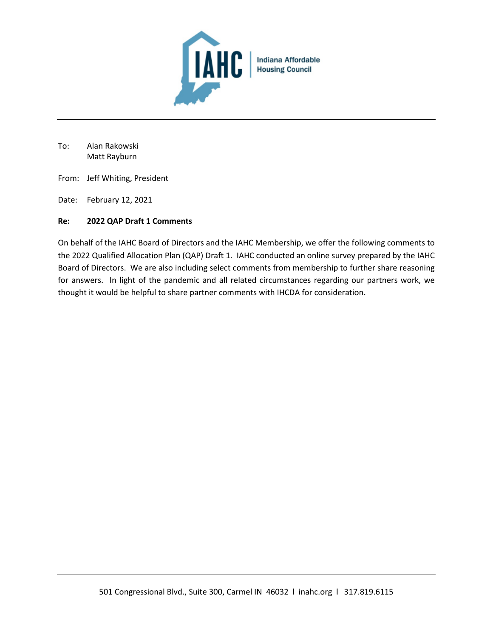

To: Alan Rakowski Matt Rayburn

- From: Jeff Whiting, President
- Date: February 12, 2021

#### **Re: 2022 QAP Draft 1 Comments**

On behalf of the IAHC Board of Directors and the IAHC Membership, we offer the following comments to the 2022 Qualified Allocation Plan (QAP) Draft 1. IAHC conducted an online survey prepared by the IAHC Board of Directors. We are also including select comments from membership to further share reasoning for answers. In light of the pandemic and all related circumstances regarding our partners work, we thought it would be helpful to share partner comments with IHCDA for consideration.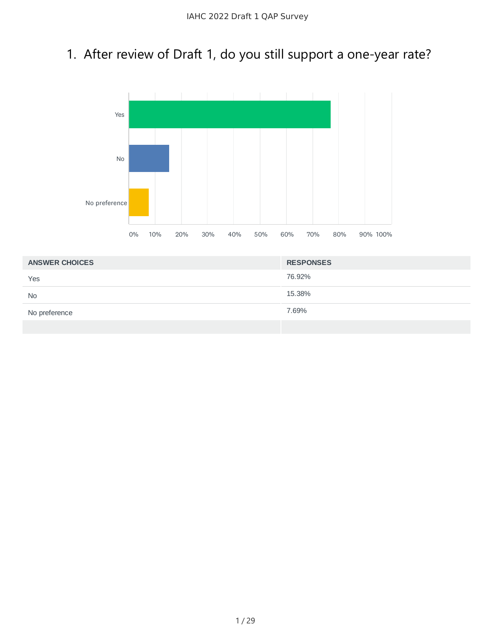## 1. After review of Draft 1, do you still support a one-year rate?



| <b>ANSWER CHOICES</b> | <b>RESPONSES</b> |
|-----------------------|------------------|
| Yes                   | 76.92%           |
| <b>No</b>             | 15.38%           |
| No preference         | 7.69%            |
|                       |                  |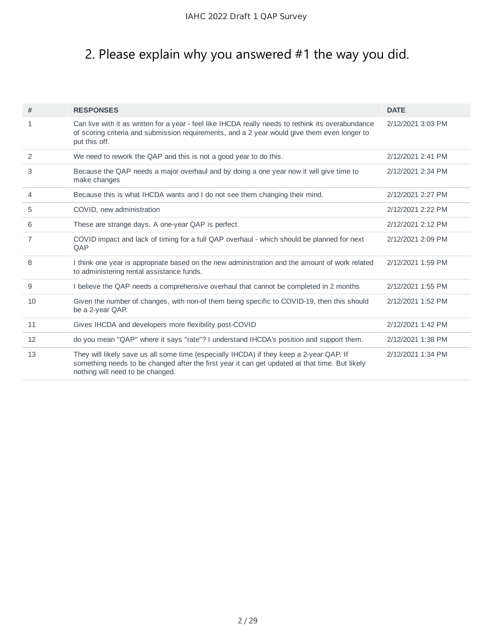## 2. Please explain why you answered #1 the way you did.

| #  | <b>RESPONSES</b>                                                                                                                                                                                                              | <b>DATE</b>       |
|----|-------------------------------------------------------------------------------------------------------------------------------------------------------------------------------------------------------------------------------|-------------------|
| 1  | Can live with it as written for a year - feel like IHCDA really needs to rethink its overabundance<br>of scoring criteria and submission requirements, and a 2 year would give them even longer to<br>put this off.           | 2/12/2021 3:03 PM |
| 2  | We need to rework the QAP and this is not a good year to do this.                                                                                                                                                             | 2/12/2021 2:41 PM |
| 3  | Because the QAP needs a major overhaul and by doing a one year now it will give time to<br>make changes                                                                                                                       | 2/12/2021 2:34 PM |
| 4  | Because this is what IHCDA wants and I do not see them changing their mind.                                                                                                                                                   | 2/12/2021 2:27 PM |
| 5  | COVID, new administration                                                                                                                                                                                                     | 2/12/2021 2:22 PM |
| 6  | These are strange days. A one-year QAP is perfect.                                                                                                                                                                            | 2/12/2021 2:12 PM |
| 7  | COVID impact and lack of timing for a full QAP overhaul - which should be planned for next<br>QAP                                                                                                                             | 2/12/2021 2:09 PM |
| 8  | I think one year is appropriate based on the new administration and the amount of work related<br>to administering rental assistance funds.                                                                                   | 2/12/2021 1:59 PM |
| 9  | I believe the QAP needs a comprehensive overhaul that cannot be completed in 2 months                                                                                                                                         | 2/12/2021 1:55 PM |
| 10 | Given the number of changes, with non-of them being specific to COVID-19, then this should<br>be a 2-year QAP.                                                                                                                | 2/12/2021 1:52 PM |
| 11 | Gives IHCDA and developers more flexibility post-COVID                                                                                                                                                                        | 2/12/2021 1:42 PM |
| 12 | do you mean "QAP" where it says "rate"? I understand IHCDA's position and support them.                                                                                                                                       | 2/12/2021 1:38 PM |
| 13 | They will likely save us all some time (especially IHCDA) if they keep a 2-year QAP. If<br>something needs to be changed after the first year it can get updated at that time. But likely<br>nothing will need to be changed. | 2/12/2021 1:34 PM |
|    |                                                                                                                                                                                                                               |                   |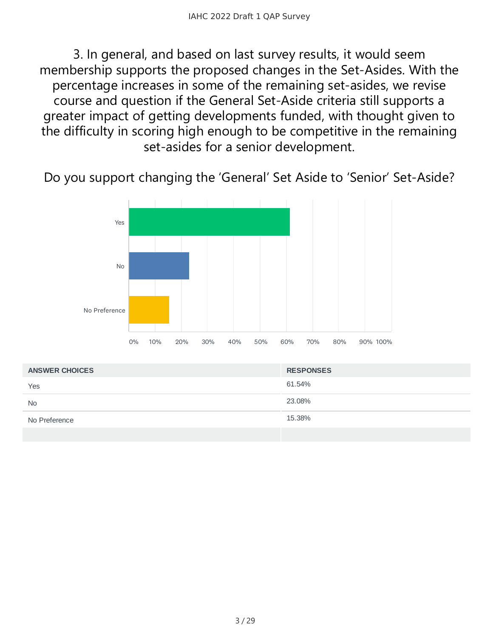3. In general, and based on last survey results, it would seem membership supports the proposed changes in the Set-Asides. With the percentage increases in some of the remaining set-asides, we revise course and question if the General Set-Aside criteria still supports a greater impact of getting developments funded, with thought given to the difficulty in scoring high enough to be competitive in the remaining set-asides for a senior development.

Do you support changing the 'General' Set Aside to 'Senior' Set-Aside?



| <b>ANSWER CHOICES</b> | <b>RESPONSES</b> |
|-----------------------|------------------|
| Yes                   | 61.54%           |
| <b>No</b>             | 23.08%           |
| No Preference         | 15.38%           |
|                       |                  |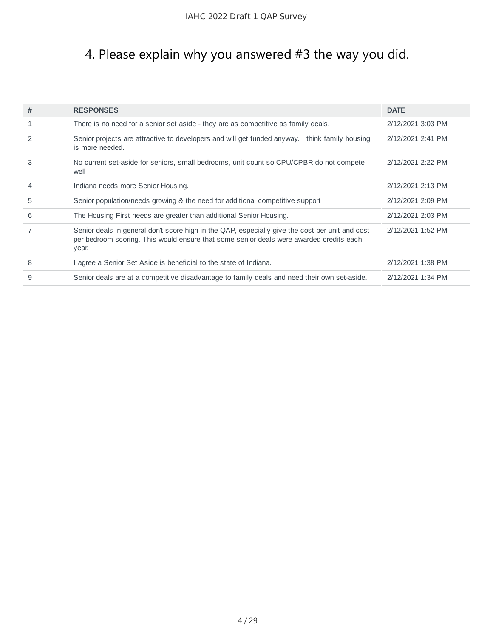## 4. Please explain why you answered #3 the way you did.

| # | <b>RESPONSES</b>                                                                                                                                                                                    | <b>DATE</b>       |
|---|-----------------------------------------------------------------------------------------------------------------------------------------------------------------------------------------------------|-------------------|
| 1 | There is no need for a senior set aside - they are as competitive as family deals.                                                                                                                  | 2/12/2021 3:03 PM |
|   |                                                                                                                                                                                                     |                   |
| 2 | Senior projects are attractive to developers and will get funded anyway. I think family housing<br>is more needed.                                                                                  | 2/12/2021 2:41 PM |
| 3 | No current set-aside for seniors, small bedrooms, unit count so CPU/CPBR do not compete<br>well                                                                                                     | 2/12/2021 2:22 PM |
| 4 | Indiana needs more Senior Housing.                                                                                                                                                                  | 2/12/2021 2:13 PM |
| 5 | Senior population/needs growing & the need for additional competitive support                                                                                                                       | 2/12/2021 2:09 PM |
| 6 | The Housing First needs are greater than additional Senior Housing.                                                                                                                                 | 2/12/2021 2:03 PM |
|   | Senior deals in general don't score high in the QAP, especially give the cost per unit and cost<br>per bedroom scoring. This would ensure that some senior deals were awarded credits each<br>year. | 2/12/2021 1:52 PM |
| 8 | I agree a Senior Set Aside is beneficial to the state of Indiana.                                                                                                                                   | 2/12/2021 1:38 PM |
| 9 | Senior deals are at a competitive disadvantage to family deals and need their own set-aside.                                                                                                        | 2/12/2021 1:34 PM |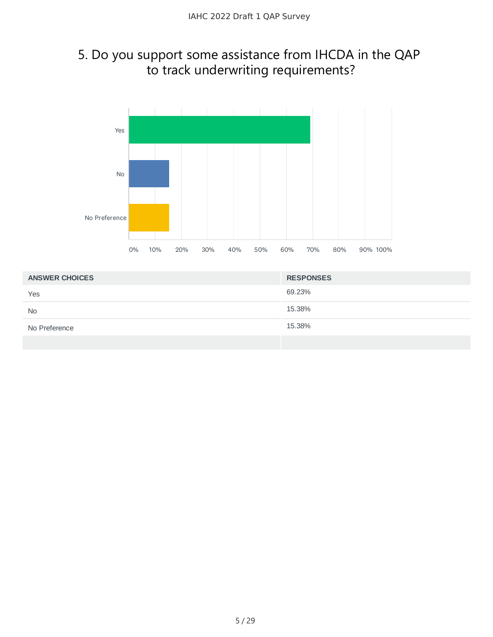#### 5. Do you support some assistance from IHCDA in the QAP to track underwriting requirements?



| <b>ANSWER CHOICES</b> | <b>RESPONSES</b> |
|-----------------------|------------------|
| Yes                   | 69.23%           |
| <b>No</b>             | 15.38%           |
| No Preference         | 15.38%           |
|                       |                  |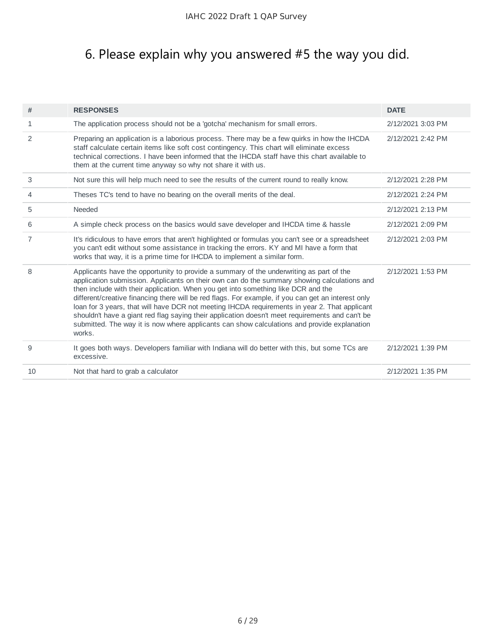## 6. Please explain why you answered #5 the way you did.

| The application process should not be a 'gotcha' mechanism for small errors.<br>$\mathbf{1}$<br>2/12/2021 3:03 PM<br>2<br>Preparing an application is a laborious process. There may be a few quirks in how the IHCDA<br>2/12/2021 2:42 PM<br>staff calculate certain items like soft cost contingency. This chart will eliminate excess<br>technical corrections. I have been informed that the IHCDA staff have this chart available to<br>them at the current time anyway so why not share it with us.<br>3<br>Not sure this will help much need to see the results of the current round to really know.<br>2/12/2021 2:28 PM<br>Theses TC's tend to have no bearing on the overall merits of the deal.<br>2/12/2021 2:24 PM<br>4<br>Needed<br>5<br>2/12/2021 2:13 PM<br>A simple check process on the basics would save developer and IHCDA time & hassle<br>6<br>2/12/2021 2:09 PM<br>$\overline{7}$<br>It's ridiculous to have errors that aren't highlighted or formulas you can't see or a spreadsheet<br>2/12/2021 2:03 PM<br>you can't edit without some assistance in tracking the errors. KY and MI have a form that<br>works that way, it is a prime time for IHCDA to implement a similar form.<br>Applicants have the opportunity to provide a summary of the underwriting as part of the<br>8<br>2/12/2021 1:53 PM<br>application submission. Applicants on their own can do the summary showing calculations and<br>then include with their application. When you get into something like DCR and the<br>different/creative financing there will be red flags. For example, if you can get an interest only<br>loan for 3 years, that will have DCR not meeting IHCDA requirements in year 2. That applicant<br>shouldn't have a giant red flag saying their application doesn't meet requirements and can't be<br>submitted. The way it is now where applicants can show calculations and provide explanation<br>works.<br>It goes both ways. Developers familiar with Indiana will do better with this, but some TCs are<br>9<br>2/12/2021 1:39 PM<br>excessive.<br>10<br>Not that hard to grab a calculator<br>2/12/2021 1:35 PM | # | <b>RESPONSES</b> | <b>DATE</b> |
|------------------------------------------------------------------------------------------------------------------------------------------------------------------------------------------------------------------------------------------------------------------------------------------------------------------------------------------------------------------------------------------------------------------------------------------------------------------------------------------------------------------------------------------------------------------------------------------------------------------------------------------------------------------------------------------------------------------------------------------------------------------------------------------------------------------------------------------------------------------------------------------------------------------------------------------------------------------------------------------------------------------------------------------------------------------------------------------------------------------------------------------------------------------------------------------------------------------------------------------------------------------------------------------------------------------------------------------------------------------------------------------------------------------------------------------------------------------------------------------------------------------------------------------------------------------------------------------------------------------------------------------------------------------------------------------------------------------------------------------------------------------------------------------------------------------------------------------------------------------------------------------------------------------------------------------------------------------------------------------------------------------------------------------------------------------------------------------------------------------------------------------------------|---|------------------|-------------|
|                                                                                                                                                                                                                                                                                                                                                                                                                                                                                                                                                                                                                                                                                                                                                                                                                                                                                                                                                                                                                                                                                                                                                                                                                                                                                                                                                                                                                                                                                                                                                                                                                                                                                                                                                                                                                                                                                                                                                                                                                                                                                                                                                      |   |                  |             |
|                                                                                                                                                                                                                                                                                                                                                                                                                                                                                                                                                                                                                                                                                                                                                                                                                                                                                                                                                                                                                                                                                                                                                                                                                                                                                                                                                                                                                                                                                                                                                                                                                                                                                                                                                                                                                                                                                                                                                                                                                                                                                                                                                      |   |                  |             |
|                                                                                                                                                                                                                                                                                                                                                                                                                                                                                                                                                                                                                                                                                                                                                                                                                                                                                                                                                                                                                                                                                                                                                                                                                                                                                                                                                                                                                                                                                                                                                                                                                                                                                                                                                                                                                                                                                                                                                                                                                                                                                                                                                      |   |                  |             |
|                                                                                                                                                                                                                                                                                                                                                                                                                                                                                                                                                                                                                                                                                                                                                                                                                                                                                                                                                                                                                                                                                                                                                                                                                                                                                                                                                                                                                                                                                                                                                                                                                                                                                                                                                                                                                                                                                                                                                                                                                                                                                                                                                      |   |                  |             |
|                                                                                                                                                                                                                                                                                                                                                                                                                                                                                                                                                                                                                                                                                                                                                                                                                                                                                                                                                                                                                                                                                                                                                                                                                                                                                                                                                                                                                                                                                                                                                                                                                                                                                                                                                                                                                                                                                                                                                                                                                                                                                                                                                      |   |                  |             |
|                                                                                                                                                                                                                                                                                                                                                                                                                                                                                                                                                                                                                                                                                                                                                                                                                                                                                                                                                                                                                                                                                                                                                                                                                                                                                                                                                                                                                                                                                                                                                                                                                                                                                                                                                                                                                                                                                                                                                                                                                                                                                                                                                      |   |                  |             |
|                                                                                                                                                                                                                                                                                                                                                                                                                                                                                                                                                                                                                                                                                                                                                                                                                                                                                                                                                                                                                                                                                                                                                                                                                                                                                                                                                                                                                                                                                                                                                                                                                                                                                                                                                                                                                                                                                                                                                                                                                                                                                                                                                      |   |                  |             |
|                                                                                                                                                                                                                                                                                                                                                                                                                                                                                                                                                                                                                                                                                                                                                                                                                                                                                                                                                                                                                                                                                                                                                                                                                                                                                                                                                                                                                                                                                                                                                                                                                                                                                                                                                                                                                                                                                                                                                                                                                                                                                                                                                      |   |                  |             |
|                                                                                                                                                                                                                                                                                                                                                                                                                                                                                                                                                                                                                                                                                                                                                                                                                                                                                                                                                                                                                                                                                                                                                                                                                                                                                                                                                                                                                                                                                                                                                                                                                                                                                                                                                                                                                                                                                                                                                                                                                                                                                                                                                      |   |                  |             |
|                                                                                                                                                                                                                                                                                                                                                                                                                                                                                                                                                                                                                                                                                                                                                                                                                                                                                                                                                                                                                                                                                                                                                                                                                                                                                                                                                                                                                                                                                                                                                                                                                                                                                                                                                                                                                                                                                                                                                                                                                                                                                                                                                      |   |                  |             |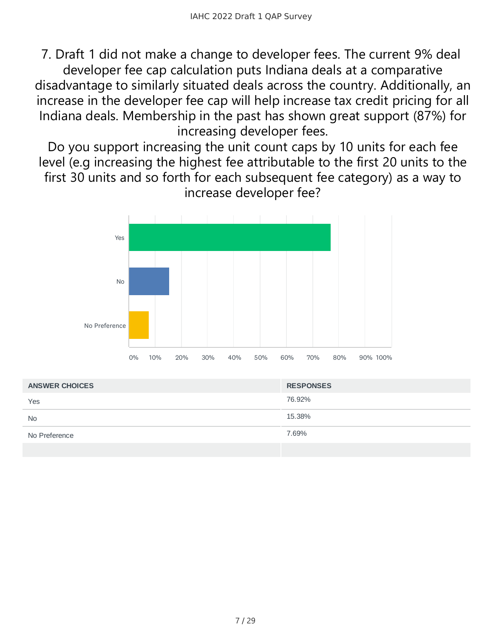7. Draft 1 did not make a change to developer fees. The current 9% deal developer fee cap calculation puts Indiana deals at a comparative disadvantage to similarly situated deals across the country. Additionally, an increase in the developer fee cap will help increase tax credit pricing for all Indiana deals. Membership in the past has shown great support (87%) for increasing developer fees.

Do you support increasing the unit count caps by 10 units for each fee level (e.g increasing the highest fee attributable to the first 20 units to the first 30 units and so forth for each subsequent fee category) as a way to increase developer fee?



| <b>ANSWER CHOICES</b> | <b>RESPONSES</b> |
|-----------------------|------------------|
| Yes                   | 76.92%           |
| <b>No</b>             | 15.38%           |
| No Preference         | 7.69%            |
|                       |                  |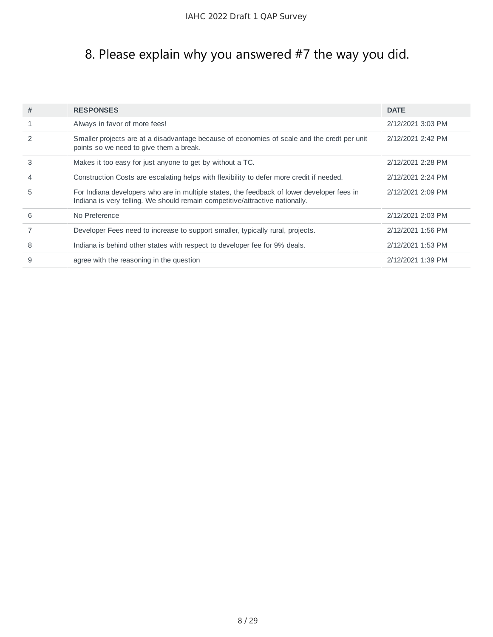# 8. Please explain why you answered #7 the way you did.

| #              | <b>RESPONSES</b>                                                                                                                                                           | <b>DATE</b>       |
|----------------|----------------------------------------------------------------------------------------------------------------------------------------------------------------------------|-------------------|
|                | Always in favor of more fees!                                                                                                                                              | 2/12/2021 3:03 PM |
|                | Smaller projects are at a disadvantage because of economies of scale and the credt per unit<br>points so we need to give them a break.                                     | 2/12/2021 2:42 PM |
| 3              | Makes it too easy for just anyone to get by without a TC.                                                                                                                  | 2/12/2021 2:28 PM |
| $\overline{4}$ | Construction Costs are escalating helps with flexibility to defer more credit if needed.                                                                                   | 2/12/2021 2:24 PM |
| 5              | For Indiana developers who are in multiple states, the feedback of lower developer fees in<br>Indiana is very telling. We should remain competitive/attractive nationally. | 2/12/2021 2:09 PM |
| 6              | No Preference                                                                                                                                                              | 2/12/2021 2:03 PM |
|                | Developer Fees need to increase to support smaller, typically rural, projects.                                                                                             | 2/12/2021 1:56 PM |
| 8              | Indiana is behind other states with respect to developer fee for 9% deals.                                                                                                 | 2/12/2021 1:53 PM |
| 9              | agree with the reasoning in the question                                                                                                                                   | 2/12/2021 1:39 PM |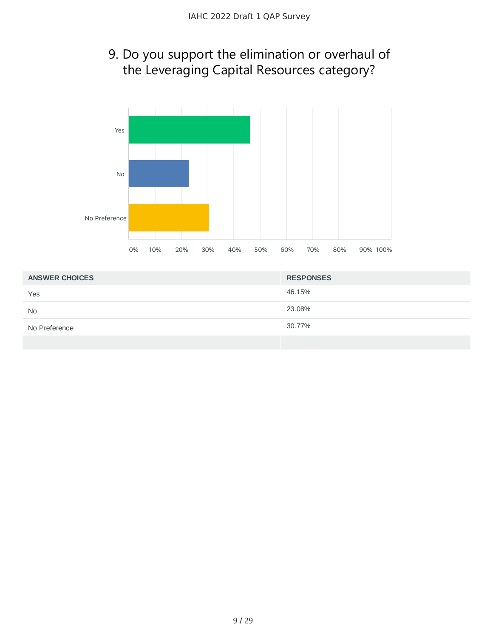#### 9. Do you support the elimination or overhaul of the Leveraging Capital Resources category?



| <b>ANSWER CHOICES</b> | <b>RESPONSES</b> |
|-----------------------|------------------|
| Yes                   | 46.15%           |
| <b>No</b>             | 23.08%           |
| No Preference         | 30.77%           |
|                       |                  |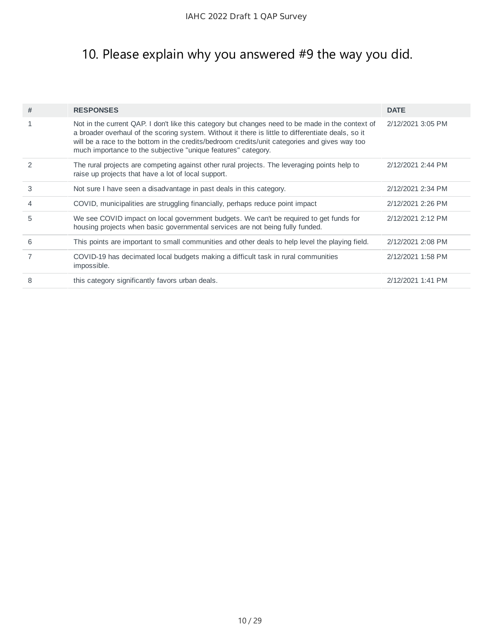## 10. Please explain why you answered #9 the way you did.

| Not in the current QAP. I don't like this category but changes need to be made in the context of<br>2/12/2021 3:05 PM<br>a broader overhaul of the scoring system. Without it there is little to differentiate deals, so it<br>will be a race to the bottom in the credits/bedroom credits/unit categories and gives way too<br>much importance to the subjective "unique features" category.<br>The rural projects are competing against other rural projects. The leveraging points help to<br>2/12/2021 2:44 PM<br>raise up projects that have a lot of local support.<br>3<br>Not sure I have seen a disadvantage in past deals in this category.<br>2/12/2021 2:34 PM<br>COVID, municipalities are struggling financially, perhaps reduce point impact<br>2/12/2021 2:26 PM<br>4<br>5<br>We see COVID impact on local government budgets. We can't be required to get funds for<br>2/12/2021 2:12 PM<br>housing projects when basic governmental services are not being fully funded.<br>This points are important to small communities and other deals to help level the playing field.<br>6<br>2/12/2021 2:08 PM<br>COVID-19 has decimated local budgets making a difficult task in rural communities<br>2/12/2021 1:58 PM<br>impossible.<br>8<br>this category significantly favors urban deals.<br>2/12/2021 1:41 PM | # | <b>RESPONSES</b> | <b>DATE</b> |
|-------------------------------------------------------------------------------------------------------------------------------------------------------------------------------------------------------------------------------------------------------------------------------------------------------------------------------------------------------------------------------------------------------------------------------------------------------------------------------------------------------------------------------------------------------------------------------------------------------------------------------------------------------------------------------------------------------------------------------------------------------------------------------------------------------------------------------------------------------------------------------------------------------------------------------------------------------------------------------------------------------------------------------------------------------------------------------------------------------------------------------------------------------------------------------------------------------------------------------------------------------------------------------------------------------------------------------|---|------------------|-------------|
|                                                                                                                                                                                                                                                                                                                                                                                                                                                                                                                                                                                                                                                                                                                                                                                                                                                                                                                                                                                                                                                                                                                                                                                                                                                                                                                               |   |                  |             |
|                                                                                                                                                                                                                                                                                                                                                                                                                                                                                                                                                                                                                                                                                                                                                                                                                                                                                                                                                                                                                                                                                                                                                                                                                                                                                                                               |   |                  |             |
|                                                                                                                                                                                                                                                                                                                                                                                                                                                                                                                                                                                                                                                                                                                                                                                                                                                                                                                                                                                                                                                                                                                                                                                                                                                                                                                               |   |                  |             |
|                                                                                                                                                                                                                                                                                                                                                                                                                                                                                                                                                                                                                                                                                                                                                                                                                                                                                                                                                                                                                                                                                                                                                                                                                                                                                                                               |   |                  |             |
|                                                                                                                                                                                                                                                                                                                                                                                                                                                                                                                                                                                                                                                                                                                                                                                                                                                                                                                                                                                                                                                                                                                                                                                                                                                                                                                               |   |                  |             |
|                                                                                                                                                                                                                                                                                                                                                                                                                                                                                                                                                                                                                                                                                                                                                                                                                                                                                                                                                                                                                                                                                                                                                                                                                                                                                                                               |   |                  |             |
|                                                                                                                                                                                                                                                                                                                                                                                                                                                                                                                                                                                                                                                                                                                                                                                                                                                                                                                                                                                                                                                                                                                                                                                                                                                                                                                               |   |                  |             |
|                                                                                                                                                                                                                                                                                                                                                                                                                                                                                                                                                                                                                                                                                                                                                                                                                                                                                                                                                                                                                                                                                                                                                                                                                                                                                                                               |   |                  |             |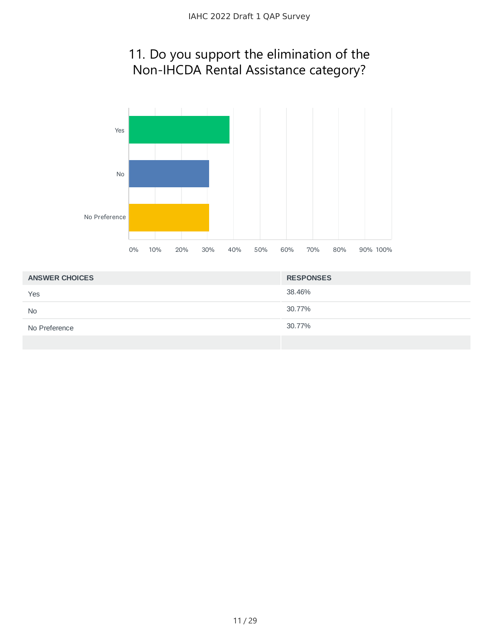#### 11. Do you support the elimination of the Non-IHCDA Rental Assistance category?



| <b>ANSWER CHOICES</b> | <b>RESPONSES</b> |
|-----------------------|------------------|
| Yes                   | 38.46%           |
| <b>No</b>             | 30.77%           |
| No Preference         | 30.77%           |
|                       |                  |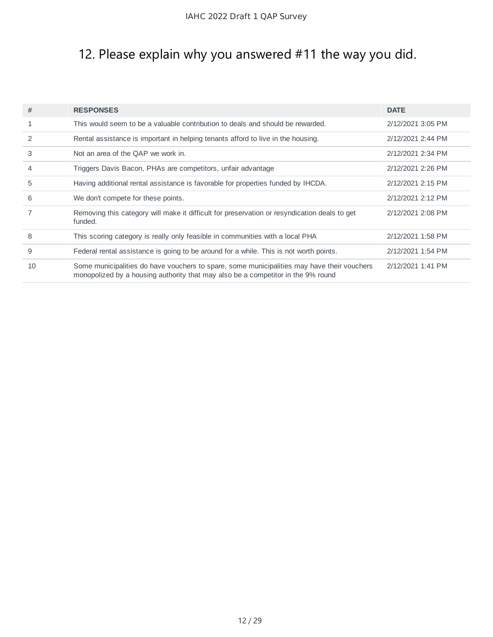## 12. Please explain why you answered #11 the way you did.

| #            | <b>RESPONSES</b>                                                                                                                                                               | <b>DATE</b>       |
|--------------|--------------------------------------------------------------------------------------------------------------------------------------------------------------------------------|-------------------|
| $\mathbf{1}$ | This would seem to be a valuable contribution to deals and should be rewarded.                                                                                                 | 2/12/2021 3:05 PM |
| 2            | Rental assistance is important in helping tenants afford to live in the housing.                                                                                               | 2/12/2021 2:44 PM |
| 3            | Not an area of the QAP we work in.                                                                                                                                             | 2/12/2021 2:34 PM |
| 4            | Triggers Davis Bacon, PHAs are competitors, unfair advantage                                                                                                                   | 2/12/2021 2:26 PM |
| 5            | Having additional rental assistance is favorable for properties funded by IHCDA.                                                                                               | 2/12/2021 2:15 PM |
| 6            | We don't compete for these points.                                                                                                                                             | 2/12/2021 2:12 PM |
| 7            | Removing this category will make it difficult for preservation or resyndication deals to get<br>funded.                                                                        | 2/12/2021 2:08 PM |
| 8            | This scoring category is really only feasible in communities with a local PHA                                                                                                  | 2/12/2021 1:58 PM |
| 9            | Federal rental assistance is going to be around for a while. This is not worth points.                                                                                         | 2/12/2021 1:54 PM |
| 10           | Some municipalities do have vouchers to spare, some municipalities may have their vouchers<br>monopolized by a housing authority that may also be a competitor in the 9% round | 2/12/2021 1:41 PM |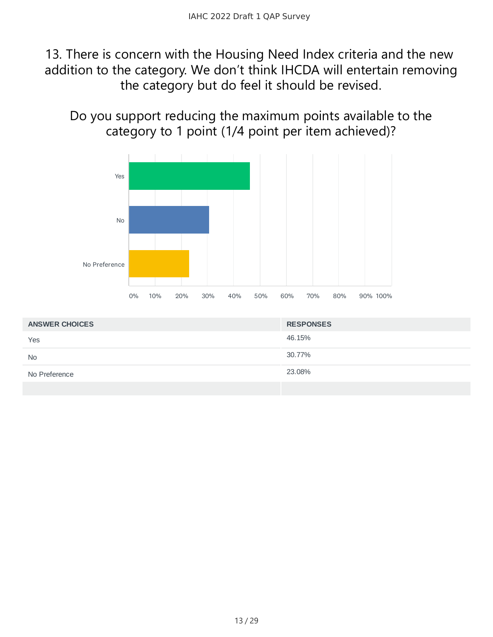#### 13. There is concern with the Housing Need Index criteria and the new addition to the category. We don't think IHCDA will entertain removing the category but do feel it should be revised.

Do you support reducing the maximum points available to the category to 1 point (1/4 point per item achieved)?



| <b>ANSWER CHOICES</b> | <b>RESPONSES</b> |
|-----------------------|------------------|
| Yes                   | 46.15%           |
| <b>No</b>             | 30.77%           |
| No Preference         | 23.08%           |
|                       |                  |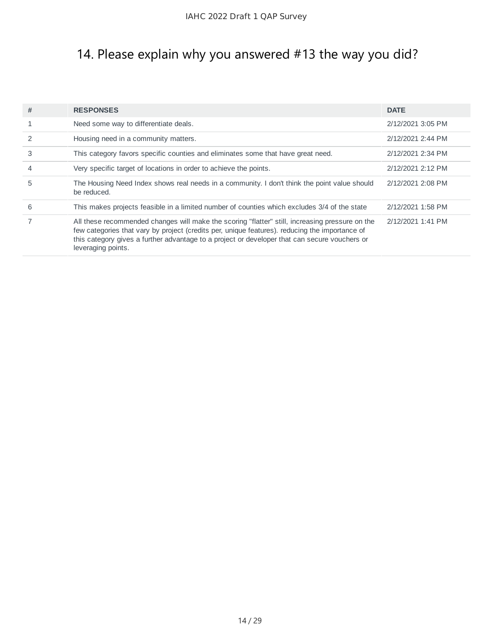## 14. Please explain why you answered #13 the way you did?

| # | <b>RESPONSES</b>                                                                                                                                                                                                                                                                                                         | <b>DATE</b>       |
|---|--------------------------------------------------------------------------------------------------------------------------------------------------------------------------------------------------------------------------------------------------------------------------------------------------------------------------|-------------------|
|   | Need some way to differentiate deals.                                                                                                                                                                                                                                                                                    | 2/12/2021 3:05 PM |
|   | Housing need in a community matters.                                                                                                                                                                                                                                                                                     | 2/12/2021 2:44 PM |
| 3 | This category favors specific counties and eliminates some that have great need.                                                                                                                                                                                                                                         | 2/12/2021 2:34 PM |
| 4 | Very specific target of locations in order to achieve the points.                                                                                                                                                                                                                                                        | 2/12/2021 2:12 PM |
| 5 | The Housing Need Index shows real needs in a community. I don't think the point value should<br>be reduced.                                                                                                                                                                                                              | 2/12/2021 2:08 PM |
| 6 | This makes projects feasible in a limited number of counties which excludes 3/4 of the state                                                                                                                                                                                                                             | 2/12/2021 1:58 PM |
|   | All these recommended changes will make the scoring "flatter" still, increasing pressure on the<br>few categories that vary by project (credits per, unique features). reducing the importance of<br>this category gives a further advantage to a project or developer that can secure vouchers or<br>leveraging points. | 2/12/2021 1:41 PM |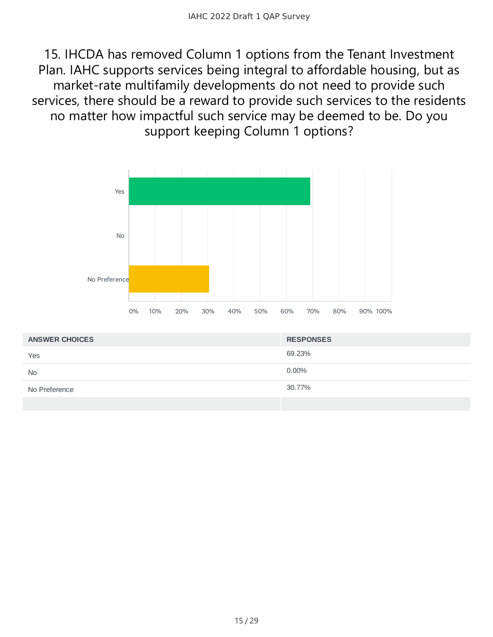15. IHCDA has removed Column 1 options from the Tenant Investment Plan. IAHC supports services being integral to affordable housing, but as market-rate multifamily developments do not need to provide such services, there should be a reward to provide such services to the residents no matter how impactful such service may be deemed to be. Do you support keeping Column 1 options?



| <b>ANSWER CHOICES</b> | <b>RESPONSES</b> |
|-----------------------|------------------|
| Yes                   | 69.23%           |
| <b>No</b>             | $0.00\%$         |
| No Preference         | 30.77%           |
|                       |                  |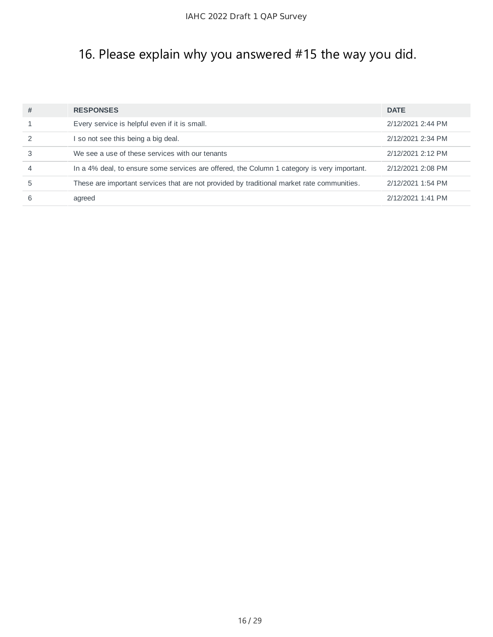## 16. Please explain why you answered #15 the way you did.

| # | <b>RESPONSES</b>                                                                            | <b>DATE</b>       |
|---|---------------------------------------------------------------------------------------------|-------------------|
|   | Every service is helpful even if it is small.                                               | 2/12/2021 2:44 PM |
|   | so not see this being a big deal.                                                           | 2/12/2021 2:34 PM |
|   | We see a use of these services with our tenants                                             | 2/12/2021 2:12 PM |
| 4 | In a 4% deal, to ensure some services are offered, the Column 1 category is very important. | 2/12/2021 2:08 PM |
| 5 | These are important services that are not provided by traditional market rate communities.  | 2/12/2021 1:54 PM |
| 6 | agreed                                                                                      | 2/12/2021 1:41 PM |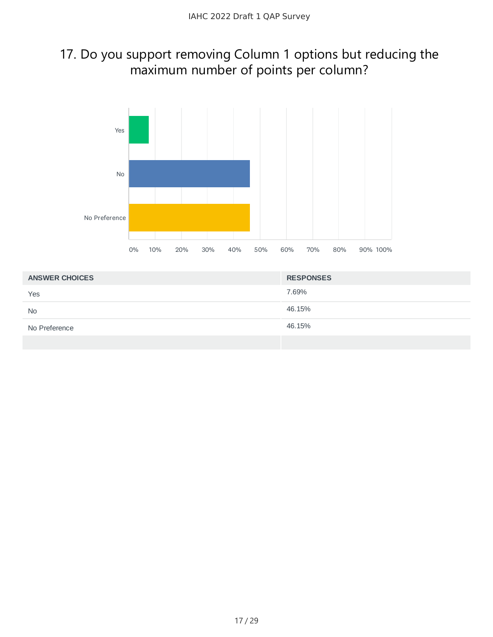#### 17. Do you support removing Column 1 options but reducing the maximum number of points per column?



| <b>ANSWER CHOICES</b> | <b>RESPONSES</b> |
|-----------------------|------------------|
| Yes                   | 7.69%            |
| <b>No</b>             | 46.15%           |
| No Preference         | 46.15%           |
|                       |                  |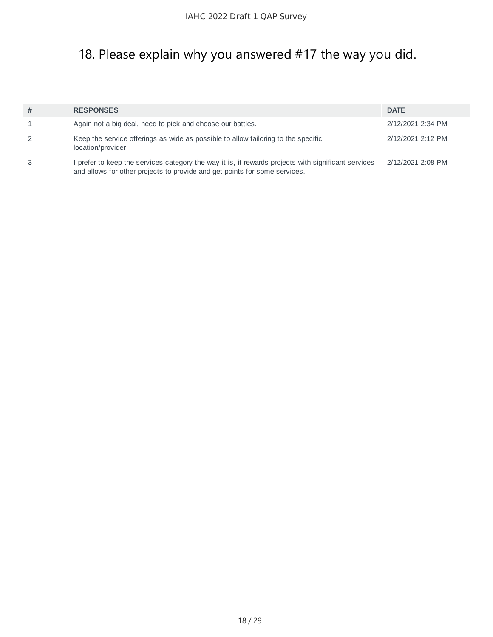## 18. Please explain why you answered #17 the way you did.

| # | <b>RESPONSES</b>                                                                                                                                                                | <b>DATE</b>       |
|---|---------------------------------------------------------------------------------------------------------------------------------------------------------------------------------|-------------------|
|   | Again not a big deal, need to pick and choose our battles.                                                                                                                      | 2/12/2021 2:34 PM |
|   | Keep the service offerings as wide as possible to allow tailoring to the specific<br>location/provider                                                                          | 2/12/2021 2:12 PM |
|   | prefer to keep the services category the way it is, it rewards projects with significant services<br>and allows for other projects to provide and get points for some services. | 2/12/2021 2:08 PM |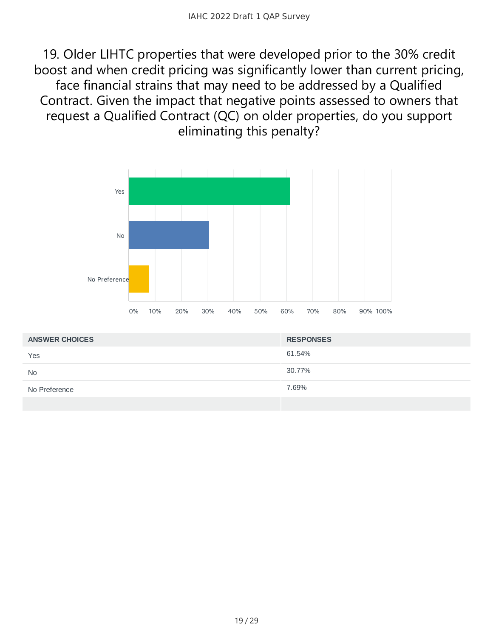19. Older LIHTC properties that were developed prior to the 30% credit boost and when credit pricing was significantly lower than current pricing, face financial strains that may need to be addressed by a Qualified Contract. Given the impact that negative points assessed to owners that request a Qualified Contract (QC) on older properties, do you support eliminating this penalty?



| <b>ANSWER CHOICES</b> | <b>RESPONSES</b> |
|-----------------------|------------------|
| Yes                   | 61.54%           |
| <b>No</b>             | 30.77%           |
| No Preference         | 7.69%            |
|                       |                  |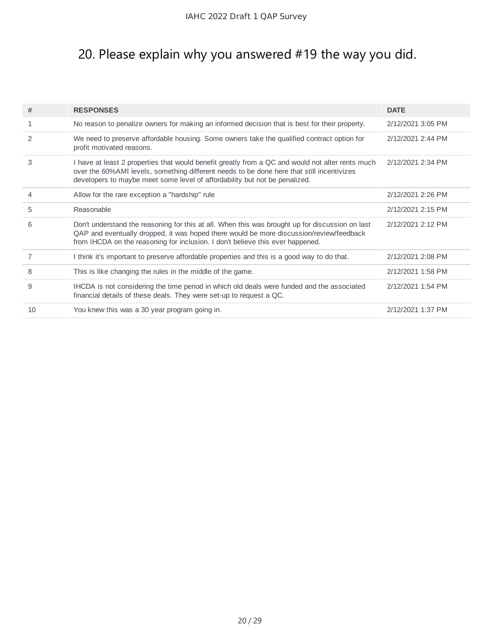## 20. Please explain why you answered #19 the way you did.

| #             | <b>RESPONSES</b>                                                                                                                                                                                                                                                             | <b>DATE</b>       |
|---------------|------------------------------------------------------------------------------------------------------------------------------------------------------------------------------------------------------------------------------------------------------------------------------|-------------------|
| 1             | No reason to penalize owners for making an informed decision that is best for their property.                                                                                                                                                                                | 2/12/2021 3:05 PM |
| $\mathcal{P}$ | We need to preserve affordable housing. Some owners take the qualified contract option for<br>profit motivated reasons.                                                                                                                                                      | 2/12/2021 2:44 PM |
| 3             | I have at least 2 properties that would benefit greatly from a QC and would not alter rents much<br>over the 60% AMI levels, something different needs to be done here that still incentivizes<br>developers to maybe meet some level of affordability but not be penalized. | 2/12/2021 2:34 PM |
| 4             | Allow for the rare exception a "hardship" rule                                                                                                                                                                                                                               | 2/12/2021 2:26 PM |
| 5             | Reasonable                                                                                                                                                                                                                                                                   | 2/12/2021 2:15 PM |
| 6             | Don't understand the reasoning for this at all. When this was brought up for discussion on last<br>QAP and eventually dropped, it was hoped there would be more discussion/review/feedback<br>from IHCDA on the reasoning for inclusion. I don't believe this ever happened. | 2/12/2021 2:12 PM |
| 7             | I think it's important to preserve affordable properties and this is a good way to do that.                                                                                                                                                                                  | 2/12/2021 2:08 PM |
| 8             | This is like changing the rules in the middle of the game.                                                                                                                                                                                                                   | 2/12/2021 1:58 PM |
| 9             | IHCDA is not considering the time period in which old deals were funded and the associated<br>financial details of these deals. They were set-up to request a QC.                                                                                                            | 2/12/2021 1:54 PM |
| 10            | You knew this was a 30 year program going in.                                                                                                                                                                                                                                | 2/12/2021 1:37 PM |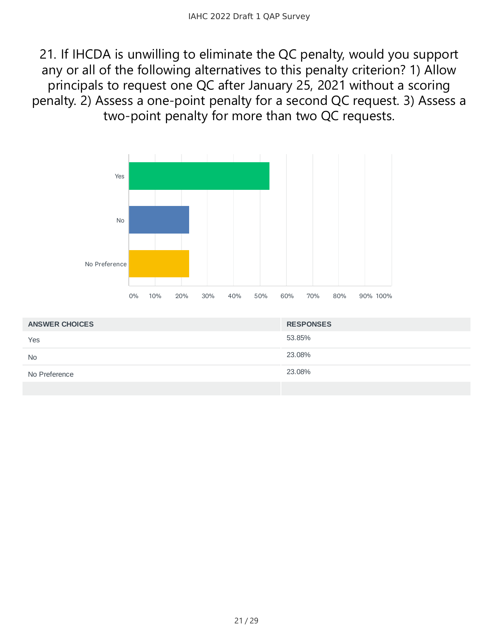21. If IHCDA is unwilling to eliminate the QC penalty, would you support any or all of the following alternatives to this penalty criterion? 1) Allow principals to request one QC after January 25, 2021 without a scoring penalty. 2) Assess a one-point penalty for a second QC request. 3) Assess a two-point penalty for more than two QC requests.



| <b>ANSWER CHOICES</b> | <b>RESPONSES</b> |
|-----------------------|------------------|
| Yes                   | 53.85%           |
| <b>No</b>             | 23.08%           |
| No Preference         | 23.08%           |
|                       |                  |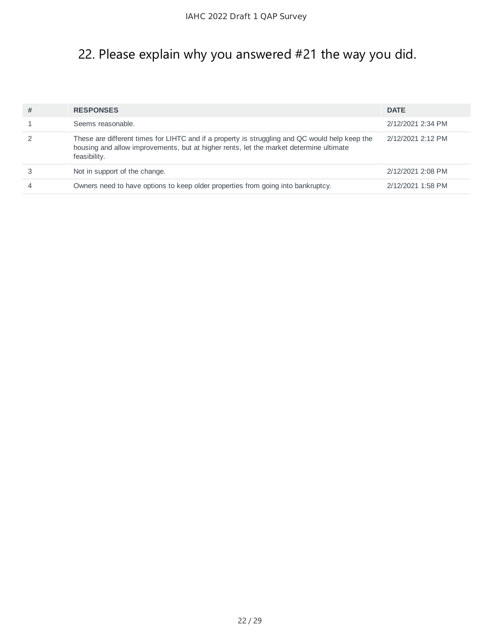## 22. Please explain why you answered #21 the way you did.

| # | <b>RESPONSES</b>                                                                                                                                                                                         | <b>DATE</b>       |
|---|----------------------------------------------------------------------------------------------------------------------------------------------------------------------------------------------------------|-------------------|
|   | Seems reasonable.                                                                                                                                                                                        | 2/12/2021 2:34 PM |
|   | These are different times for LIHTC and if a property is struggling and QC would help keep the<br>housing and allow improvements, but at higher rents, let the market determine ultimate<br>feasibility. | 2/12/2021 2:12 PM |
|   | Not in support of the change.                                                                                                                                                                            | 2/12/2021 2:08 PM |
| 4 | Owners need to have options to keep older properties from going into bankruptcy.                                                                                                                         | 2/12/2021 1:58 PM |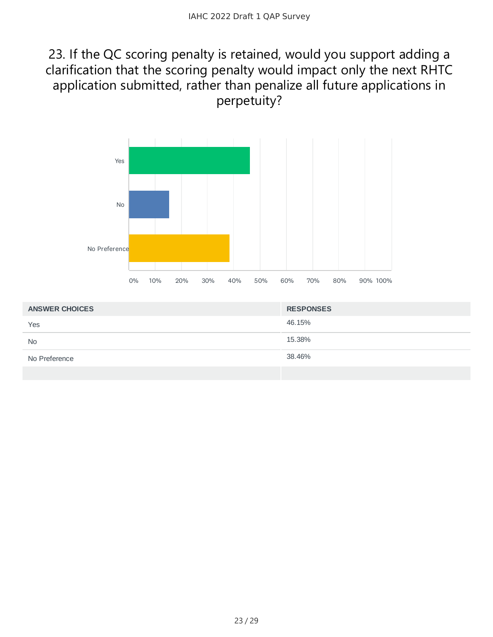#### 23. If the QC scoring penalty is retained, would you support adding a clarification that the scoring penalty would impact only the next RHTC application submitted, rather than penalize all future applications in perpetuity?



| <b>ANSWER CHOICES</b> | <b>RESPONSES</b> |
|-----------------------|------------------|
| Yes                   | 46.15%           |
| <b>No</b>             | 15.38%           |
| No Preference         | 38.46%           |
|                       |                  |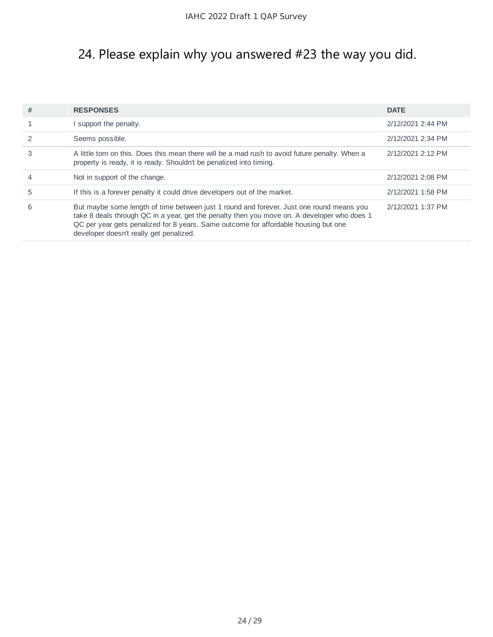## 24. Please explain why you answered #23 the way you did.

| # | <b>RESPONSES</b>                                                                                                                                                                                                                                                                                                          | <b>DATE</b>       |
|---|---------------------------------------------------------------------------------------------------------------------------------------------------------------------------------------------------------------------------------------------------------------------------------------------------------------------------|-------------------|
|   | support the penalty.                                                                                                                                                                                                                                                                                                      | 2/12/2021 2:44 PM |
|   | Seems possible.                                                                                                                                                                                                                                                                                                           | 2/12/2021 2:34 PM |
| 3 | A little torn on this. Does this mean there will be a mad rush to avoid future penalty. When a<br>property is ready, it is ready. Shouldn't be penalized into timing.                                                                                                                                                     | 2/12/2021 2:12 PM |
| 4 | Not in support of the change.                                                                                                                                                                                                                                                                                             | 2/12/2021 2:08 PM |
| 5 | If this is a forever penalty it could drive developers out of the market.                                                                                                                                                                                                                                                 | 2/12/2021 1:58 PM |
| 6 | But maybe some length of time between just 1 round and forever. Just one round means you<br>take 8 deals through QC in a year, get the penalty then you move on. A developer who does 1<br>QC per year gets penalized for 8 years. Same outcome for affordable housing but one<br>developer doesn't really get penalized. | 2/12/2021 1:37 PM |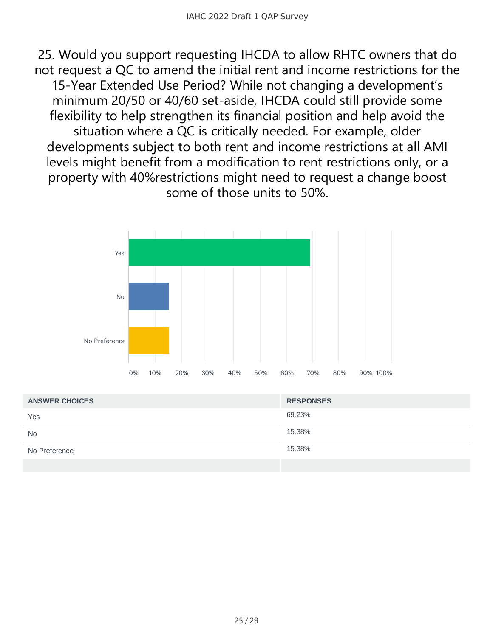25. Would you support requesting IHCDA to allow RHTC owners that do not request a QC to amend the initial rent and income restrictions for the 15-Year Extended Use Period? While not changing a development's minimum 20/50 or 40/60 set-aside, IHCDA could still provide some flexibility to help strengthen its financial position and help avoid the situation where a QC is critically needed. For example, older developments subject to both rent and income restrictions at all AMI levels might benefit from a modification to rent restrictions only, or a property with 40%restrictions might need to request a change boost some of those units to 50%.



| <b>ANSWER CHOICES</b> | <b>RESPONSES</b> |
|-----------------------|------------------|
| Yes                   | 69.23%           |
| <b>No</b>             | 15.38%           |
| No Preference         | 15.38%           |
|                       |                  |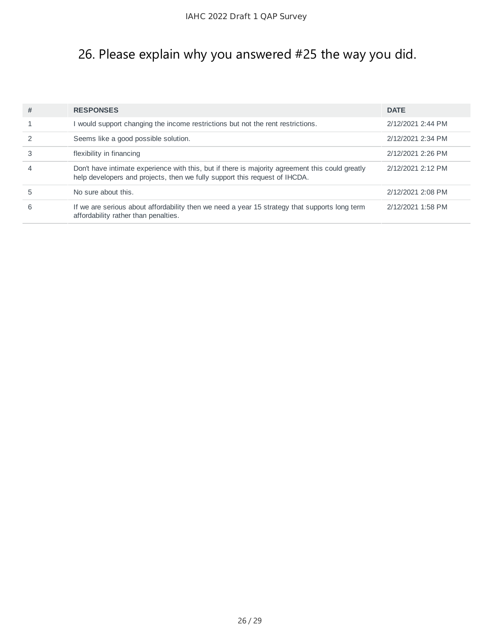## 26. Please explain why you answered #25 the way you did.

| # | <b>RESPONSES</b>                                                                                                                                                              | <b>DATE</b>       |
|---|-------------------------------------------------------------------------------------------------------------------------------------------------------------------------------|-------------------|
|   | I would support changing the income restrictions but not the rent restrictions.                                                                                               | 2/12/2021 2:44 PM |
|   | Seems like a good possible solution.                                                                                                                                          | 2/12/2021 2:34 PM |
|   | flexibility in financing                                                                                                                                                      | 2/12/2021 2:26 PM |
| 4 | Don't have intimate experience with this, but if there is majority agreement this could greatly<br>help developers and projects, then we fully support this request of IHCDA. | 2/12/2021 2:12 PM |
|   | No sure about this.                                                                                                                                                           | 2/12/2021 2:08 PM |
| 6 | If we are serious about affordability then we need a year 15 strategy that supports long term<br>affordability rather than penalties.                                         | 2/12/2021 1:58 PM |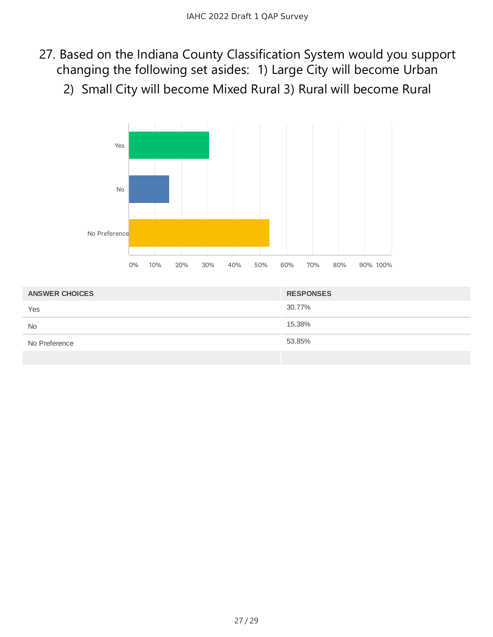- 27. Based on the Indiana County Classification System would you support changing the following set asides: 1) Large City will become Urban
	- 2) Small City will become Mixed Rural 3) Rural will become Rural



| <b>ANSWER CHOICES</b> | <b>RESPONSES</b> |
|-----------------------|------------------|
| Yes                   | 30.77%           |
| <b>No</b>             | 15.38%           |
| No Preference         | 53.85%           |
|                       |                  |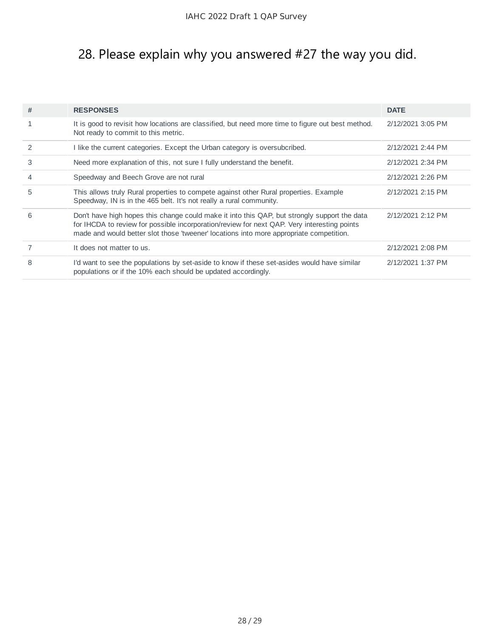## 28. Please explain why you answered #27 the way you did.

| #             | <b>RESPONSES</b>                                                                                                                                                                                                                                                                       | <b>DATE</b>       |
|---------------|----------------------------------------------------------------------------------------------------------------------------------------------------------------------------------------------------------------------------------------------------------------------------------------|-------------------|
| 1             | It is good to revisit how locations are classified, but need more time to figure out best method.<br>Not ready to commit to this metric.                                                                                                                                               | 2/12/2021 3:05 PM |
| $\mathcal{P}$ | I like the current categories. Except the Urban category is oversubcribed.                                                                                                                                                                                                             | 2/12/2021 2:44 PM |
| 3             | Need more explanation of this, not sure I fully understand the benefit.                                                                                                                                                                                                                | 2/12/2021 2:34 PM |
| 4             | Speedway and Beech Grove are not rural                                                                                                                                                                                                                                                 | 2/12/2021 2:26 PM |
| 5             | This allows truly Rural properties to compete against other Rural properties. Example<br>Speedway, IN is in the 465 belt. It's not really a rural community.                                                                                                                           | 2/12/2021 2:15 PM |
| 6             | Don't have high hopes this change could make it into this QAP, but strongly support the data<br>for IHCDA to review for possible incorporation/review for next QAP. Very interesting points<br>made and would better slot those 'tweener' locations into more appropriate competition. | 2/12/2021 2:12 PM |
|               | It does not matter to us.                                                                                                                                                                                                                                                              | 2/12/2021 2:08 PM |
| 8             | I'd want to see the populations by set-aside to know if these set-asides would have similar<br>populations or if the 10% each should be updated accordingly.                                                                                                                           | 2/12/2021 1:37 PM |